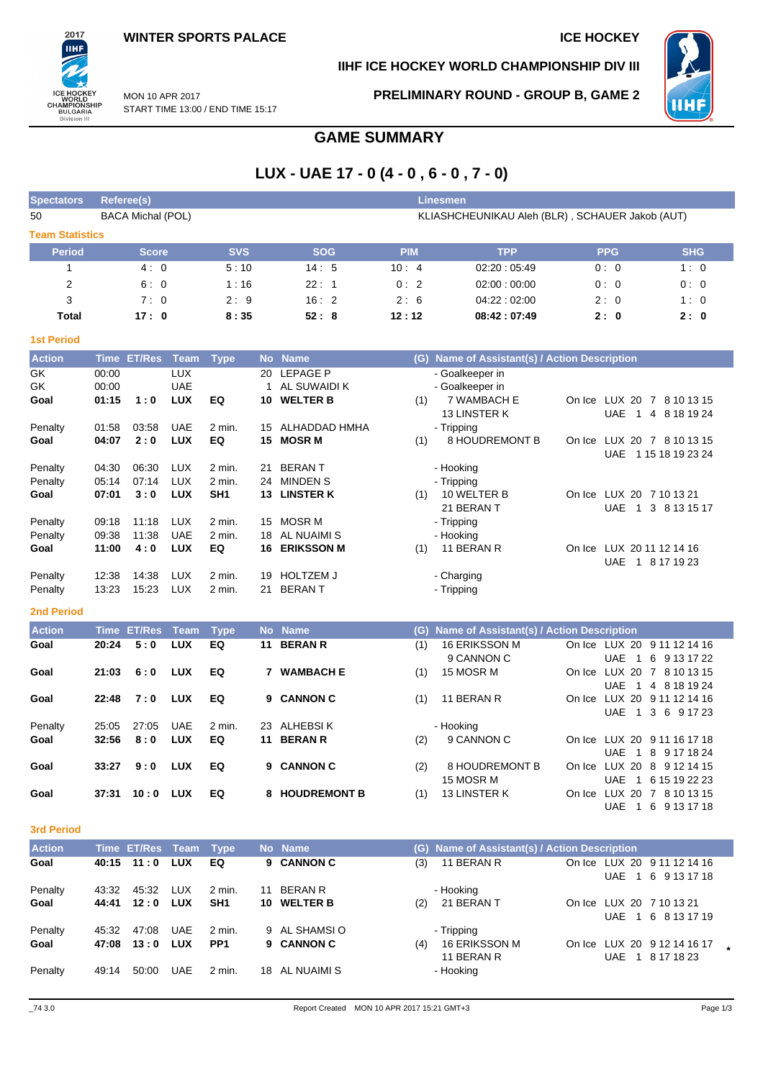# ПHI ICE HOCKEY<br>WORLD<br>CHAMPIONSHIP<br>BULGARIA<br>Division III

2017

**IIHF ICE HOCKEY WORLD CHAMPIONSHIP DIV III**



MON 10 APR 2017 START TIME 13:00 / END TIME 15:17 **PRELIMINARY ROUND - GROUP B, GAME 2**

# **GAME SUMMARY**

# **LUX - UAE 17 - 0 (4 - 0 , 6 - 0 , 7 - 0)**

| <b>Spectators</b>      |             | <b>Referee(s)</b>        |                          |                 |           |                                |            | <b>Linesmen</b>                                 |            |                                                    |
|------------------------|-------------|--------------------------|--------------------------|-----------------|-----------|--------------------------------|------------|-------------------------------------------------|------------|----------------------------------------------------|
| 50                     |             | <b>BACA Michal (POL)</b> |                          |                 |           |                                |            | KLIASHCHEUNIKAU Aleh (BLR), SCHAUER Jakob (AUT) |            |                                                    |
| <b>Team Statistics</b> |             |                          |                          |                 |           |                                |            |                                                 |            |                                                    |
| <b>Period</b>          |             | <b>Score</b>             |                          | <b>SVS</b>      |           | <b>SOG</b>                     | <b>PIM</b> | <b>TPP</b>                                      | <b>PPG</b> | <b>SHG</b>                                         |
| 1                      |             | 4:0                      |                          | 5:10            |           | 14:5                           | 10:4       | 02:20:05:49                                     | 0:0        | 1:0                                                |
| 2                      |             | 6:0                      |                          | 1:16            |           | 22:1                           | 0:2        | 02:00:00:00                                     | 0:0        | 0:0                                                |
| 3                      |             | 7:0                      |                          | 2:9             |           | 16:2                           | 2:6        | 04:22:02:00                                     | 2:0        | 1:0                                                |
| <b>Total</b>           |             | 17:0                     |                          | 8:35            |           | 52:8                           | 12:12      | 08:42:07:49                                     | 2:0        | 2:0                                                |
| <b>1st Period</b>      |             |                          |                          |                 |           |                                |            |                                                 |            |                                                    |
| <b>Action</b>          |             | Time ET/Res              | <b>Team</b>              | <b>Type</b>     |           | No Name                        |            | (G) Name of Assistant(s) / Action Description   |            |                                                    |
| GK                     | 00:00       |                          | <b>LUX</b>               |                 | 20        | <b>LEPAGE P</b>                |            | - Goalkeeper in                                 |            |                                                    |
| GK                     | 00:00       |                          | <b>UAE</b>               |                 |           | 1 AL SUWAIDI K                 |            | - Goalkeeper in                                 |            |                                                    |
| Goal                   | 01:15       | 1:0                      | <b>LUX</b>               | EQ              |           | 10 WELTER B                    | (1)        | 7 WAMBACH E                                     |            | On Ice LUX 20 7 8 10 13 15                         |
|                        |             |                          |                          |                 |           |                                |            | 13 LINSTER K                                    | <b>UAE</b> | 1 4 8 18 19 24                                     |
| Penalty                | 01:58       | 03:58<br>2:0             | <b>UAE</b><br><b>LUX</b> | 2 min.          | 15        | ALHADDAD HMHA<br><b>MOSR M</b> |            | - Tripping                                      |            |                                                    |
| Goal                   | 04:07       |                          |                          | EQ              | 15        |                                | (1)        | 8 HOUDREMONT B                                  |            | On Ice LUX 20 7 8 10 13 15<br>UAE 1 15 18 19 23 24 |
| Penalty                | 04:30       | 06:30                    | <b>LUX</b>               | $2$ min.        | 21        | <b>BERANT</b>                  |            | - Hooking                                       |            |                                                    |
| Penalty                | 05:14       | 07:14                    | <b>LUX</b>               | 2 min.          | 24        | <b>MINDEN S</b>                |            | - Tripping                                      |            |                                                    |
| Goal                   | 07:01       | 3:0                      | <b>LUX</b>               | SH <sub>1</sub> |           | 13 LINSTER K                   | (1)        | 10 WELTER B                                     |            | On Ice LUX 20 7 10 13 21                           |
|                        |             |                          |                          |                 |           |                                |            | 21 BERAN T                                      | <b>UAE</b> | 1 3 8 13 15 17                                     |
| Penalty                | 09:18       | 11:18                    | <b>LUX</b>               | 2 min.          | 15        | <b>MOSR M</b>                  |            | - Tripping                                      |            |                                                    |
| Penalty                | 09:38       | 11:38                    | <b>UAE</b>               | 2 min.          | 18        | AL NUAIMI S                    |            | - Hooking                                       |            |                                                    |
| Goal                   | 11:00       | 4:0                      | <b>LUX</b>               | EQ              | 16        | <b>ERIKSSON M</b>              | (1)        | 11 BERAN R                                      |            | On Ice LUX 20 11 12 14 16<br>UAE 1 8 17 19 23      |
| Penalty                | 12:38       | 14:38                    | <b>LUX</b>               | 2 min.          | 19        | <b>HOLTZEM J</b>               |            | - Charging                                      |            |                                                    |
| Penalty                | 13:23       | 15:23                    | <b>LUX</b>               | 2 min.          | 21        | <b>BERANT</b>                  |            | - Tripping                                      |            |                                                    |
|                        |             |                          |                          |                 |           |                                |            |                                                 |            |                                                    |
| <b>2nd Period</b>      |             |                          |                          |                 |           |                                |            |                                                 |            |                                                    |
| <b>Action</b>          | <b>Time</b> | <b>ET/Res</b>            | <b>Team</b>              | <b>Type</b>     | <b>No</b> | <b>Name</b>                    | (G)        | Name of Assistant(s) / Action Description       |            |                                                    |
| Goal                   | 20:24       | 5:0                      | <b>LUX</b>               | EQ              | 11        | <b>BERAN R</b>                 | (1)        | 16 ERIKSSON M                                   |            | On Ice LUX 20 9 11 12 14 16                        |
|                        |             | 6:0                      | <b>LUX</b>               | EQ              |           | <b>WAMBACH E</b>               |            | 9 CANNON C<br>15 MOSR M                         | <b>UAE</b> | 1 6 9 13 17 22<br>On Ice LUX 20 7 8 10 13 15       |
| Goal                   | 21:03       |                          |                          |                 | 7         |                                | (1)        |                                                 | <b>UAE</b> | 1 4 8 18 19 24                                     |
| Goal                   | 22:48       | 7:0                      | <b>LUX</b>               | EQ              |           | 9 CANNON C                     | (1)        | 11 BERAN R                                      |            | On Ice LUX 20 9 11 12 14 16                        |
|                        |             |                          |                          |                 |           |                                |            |                                                 | <b>UAE</b> | 1 3 6 9 17 23                                      |
| Penalty                | 25:05       | 27:05                    | <b>UAE</b>               | 2 min.          | 23        | <b>ALHEBSIK</b>                |            | - Hooking                                       |            |                                                    |
| Goal                   | 32:56       | 8:0                      | <b>LUX</b>               | EQ              | 11        | <b>BERAN R</b>                 | (2)        | 9 CANNON C                                      |            | On Ice LUX 20 9 11 16 17 18                        |
|                        |             |                          |                          |                 |           |                                |            |                                                 | <b>UAE</b> | 1 8 9 17 18 24                                     |
| Goal                   | 33:27       | 9:0                      | <b>LUX</b>               | EQ              | 9         | <b>CANNON C</b>                | (2)        | <b>8 HOUDREMONT B</b>                           |            | On Ice LUX 20 8 9 12 14 15                         |

#### **3rd Period**

| <b>Action</b> |       | Time ET/Res Team Type |            |                 |    | No Name        |     | (G) Name of Assistant(s) / Action Description |  |                                                   |  |
|---------------|-------|-----------------------|------------|-----------------|----|----------------|-----|-----------------------------------------------|--|---------------------------------------------------|--|
| Goal          |       | $40:15$ 11:0          | <b>LUX</b> | EQ              |    | 9 CANNON C     | (3) | 11 BERAN R                                    |  | On Ice LUX 20 9 11 12 14 16<br>UAE 1 6 9 13 17 18 |  |
| Penalty       | 43:32 | 45.32                 | LUX        | 2 min.          | 11 | <b>BERAN R</b> |     | - Hooking                                     |  |                                                   |  |
| Goal          | 44:41 | 12:0                  | <b>LUX</b> | SH <sub>1</sub> |    | 10 WELTER B    | (2) | 21 BERAN T                                    |  | On Ice LUX 20 7 10 13 21<br>UAE 1 6 8 13 17 19    |  |
| Penalty       | 45:32 | 47:08                 | <b>UAE</b> | 2 min.          |    | 9 AL SHAMSI O  |     | - Tripping                                    |  |                                                   |  |
| Goal          | 47:08 | 13:0                  | <b>LUX</b> | PP <sub>1</sub> |    | 9 CANNON C     | (4) | 16 ERIKSSON M<br>11 BERAN R                   |  | On Ice LUX 20 9 12 14 16 17<br>UAE 1 8 17 18 23   |  |
| Penalty       | 49:14 | 50:00                 | <b>UAE</b> | 2 min.          |    | 18 AL NUAIMI S |     | - Hooking                                     |  |                                                   |  |

**Goal 37:31 10:0 LUX EQ 8 HOUDREMONT B** (1) 13 LINSTER K On Ice LUX 20 7 8 10 13 15

15 MOSR M

UAE 1 6 15 19 22 23

UAE 1 6 9 13 17 18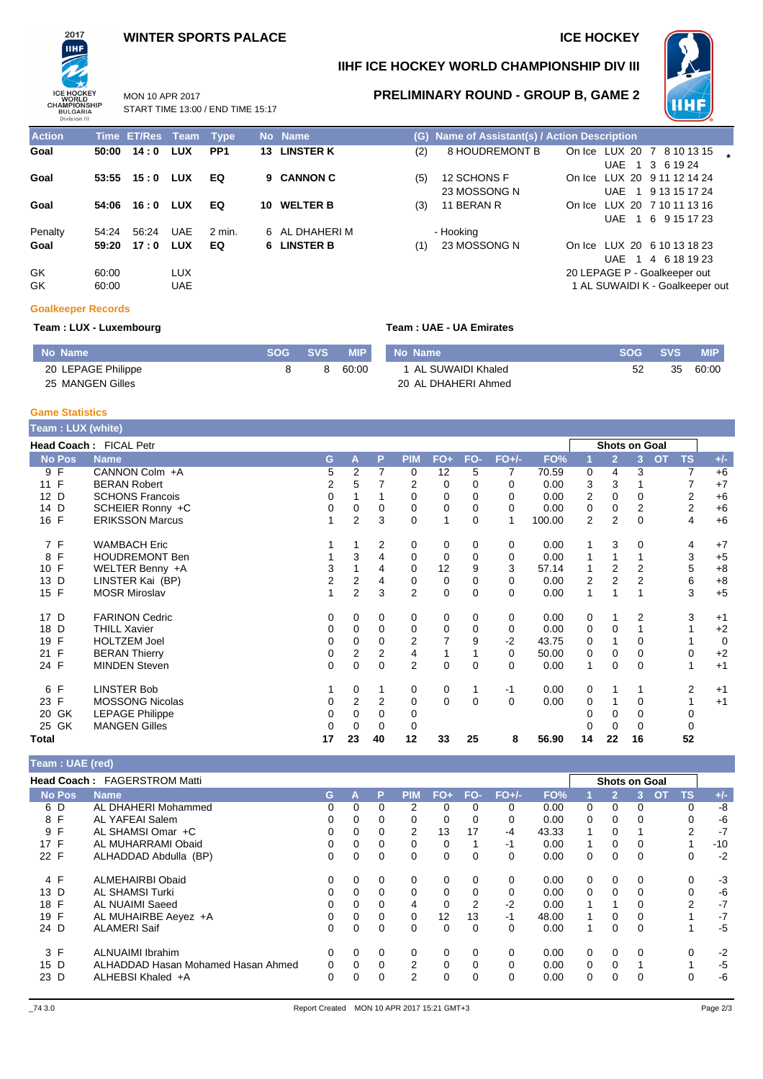# **WINTER SPORTS PALACE ICE HOCKEY**



## **IIHF ICE HOCKEY WORLD CHAMPIONSHIP DIV III**

**Action Time ET/Res Team Type No Name (G) Name of Assistant(s) / Action Description**

**Goal 50:00 14 : 0 LUX PP1 13 LINSTER K** (2) 8 HOUDREMONT B On Ice LUX 20 7 8 10 13 15 **\***

(3) 11 BERAN R **On Ice LUX 20 7 10 11 13 16** 

(1) 23 MOSSONG N On Ice LUX 20 6 10 13 18 23



UAE 1 3 6 19 24

UAE 1 6 9 15 17 23

UAE 1 4 6 18 19 23 20 LEPAGE P - Goalkeeper out 1 AL SUWAIDI K - Goalkeeper out

On Ice LUX 20 9 11 12 14 24 UAE 1 9 13 15 17 24

MON 10 APR 2017 START TIME 13:00 / END TIME 15:17 **PRELIMINARY ROUND - GROUP B, GAME 2**

| <b>Action</b> |                | Time ET/Res Team Type |                          |                 | No Name        |     | (G) Name of |
|---------------|----------------|-----------------------|--------------------------|-----------------|----------------|-----|-------------|
| Goal          | 50:00          | 14:0                  | LUX                      | PP <sub>1</sub> | 13 LINSTER K   | (2) | 8 HOU       |
| Goal          | 53:55          | 15:0                  | LUX                      | EQ              | 9 CANNON C     | (5) | 12 SCH      |
|               |                |                       |                          |                 |                |     | 23 MOS      |
| Goal          | 54:06          | 16:0                  | LUX                      | EQ              | 10 WELTER B    | (3) | 11 BER.     |
| Penalty       | 54:24          | 56:24                 | UAE                      | $2$ min.        | 6 AL DHAHERI M |     | - Hooking   |
| Goal          | 59:20          | 17:0                  | LUX                      | EQ              | 6 LINSTER B    | (1) | 23 MOS      |
| GK<br>GK.     | 60:00<br>60:00 |                       | <b>LUX</b><br><b>UAE</b> |                 |                |     |             |

## **Team : LUX - Luxembourg Team : UAE - UA Emirates**

**(5)** 12 SCHONS F 23 MOSSONG N

| No Name            | SOG SVS | <b>MIP</b> | No Name             | <b>SOG SVS</b> |    | <b>MIP</b> |
|--------------------|---------|------------|---------------------|----------------|----|------------|
| 20 LEPAGE Philippe | 8       | 60:00      | 1 AL SUWAIDI Khaled | 52             | 35 | 60:00      |
| 25 MANGEN Gilles   |         |            | 20 AL DHAHERI Ahmed |                |    |            |

### **Game Statistics**

**Goalkeeper Records**

| Team: LUX (white) |                        |    |   |                |                |                |             |             |          |        |                |                |          |                |                |                |
|-------------------|------------------------|----|---|----------------|----------------|----------------|-------------|-------------|----------|--------|----------------|----------------|----------|----------------|----------------|----------------|
|                   | Head Coach: FICAL Petr |    |   |                |                |                |             |             |          |        |                | Shots on Goal  |          |                |                |                |
| <b>No Pos</b>     | <b>Name</b>            |    | G | A              | P              | <b>PIM</b>     | $FO+$       | FO-         | $FO+/-$  | FO%    |                | $\overline{2}$ | 3        | $\overline{O}$ | <b>TS</b>      | $+/-$          |
| 9 F               | CANNON Colm +A         |    | 5 | 2              | 7              | 0              | 12          | 5           | 7        | 70.59  | 0              | 4              | 3        |                | 7              | $+6$           |
| 11 F              | <b>BERAN Robert</b>    |    | 2 | 5              |                | 2              | 0           | 0           | 0        | 0.00   | 3              | 3              |          |                |                | $+7$           |
| 12 D              | <b>SCHONS Francois</b> |    | 0 |                |                | 0              | $\Omega$    | 0           | 0        | 0.00   | 2              | $\Omega$       | 0        |                | 2              | $+6$           |
| 14 D              | SCHEIER Ronny +C       |    | 0 | 0              | 0              | 0              | 0           | $\Omega$    | $\Omega$ | 0.00   | 0              | 0              | 2        |                | $\overline{2}$ | $+6$           |
| 16 F              | <b>ERIKSSON Marcus</b> |    |   | $\overline{2}$ | 3              | 0              | 1           | $\Omega$    | 1        | 100.00 | $\overline{2}$ | $\overline{2}$ | $\Omega$ |                | 4              | $+6$           |
| 7 F               | <b>WAMBACH Eric</b>    |    |   |                | 2              | 0              | 0           | 0           | 0        | 0.00   |                | 3              | 0        |                | 4              | $+7$           |
| F<br>8            | <b>HOUDREMONT Ben</b>  |    |   | 3              | 4              | 0              | 0           | $\Omega$    | 0        | 0.00   | 1              |                |          |                | 3              | $+5$           |
| 10 F              | WELTER Benny +A        |    | 3 | 1              | 4              | 0              | 12          | 9           | 3        | 57.14  | 1              | 2              | 2        |                | 5              | $+8$           |
| 13 D              | LINSTER Kai (BP)       |    | 2 | 2              | 4              | 0              | 0           | $\mathbf 0$ | 0        | 0.00   | 2              | $\overline{2}$ | 2        |                | 6              | $+8$           |
| 15 F              | <b>MOSR Miroslav</b>   |    |   | 2              | 3              | $\overline{2}$ | $\mathbf 0$ | $\Omega$    | 0        | 0.00   | 1              |                |          |                | 3              | $+5$           |
| 17 D              | <b>FARINON Cedric</b>  |    | 0 | 0              | 0              | 0              | 0           | 0           | 0        | 0.00   | 0              |                | 2        |                | 3              | $+1$           |
| 18 D              | <b>THILL Xavier</b>    |    | 0 | 0              | 0              | 0              | 0           | 0           | 0        | 0.00   | 0              | $\mathbf 0$    |          |                |                | $+2$           |
| 19 F              | <b>HOLTZEM Joel</b>    |    | 0 | 0              | 0              | $\overline{2}$ |             | 9           | $-2$     | 43.75  | 0              |                | 0        |                |                | $\overline{0}$ |
| 21 F              | <b>BERAN Thierry</b>   |    | 0 | 2              | $\overline{2}$ | 4              |             |             | 0        | 50.00  | 0              | 0              | 0        |                | $\Omega$       | $+2$           |
| 24 F              | <b>MINDEN Steven</b>   |    | 0 | $\Omega$       | $\Omega$       | $\overline{2}$ | $\Omega$    | $\Omega$    | $\Omega$ | 0.00   | 1              | $\Omega$       | $\Omega$ |                |                | $+1$           |
| F<br>6            | <b>LINSTER Bob</b>     |    |   | 0              | 1              | 0              | 0           | 1           | $-1$     | 0.00   | 0              |                |          |                | 2              | $+1$           |
| 23 F              | <b>MOSSONG Nicolas</b> |    | 0 | 2              | 2              | 0              | $\mathbf 0$ | $\Omega$    | $\Omega$ | 0.00   | 0              |                | 0        |                |                | $+1$           |
| GK<br>20          | <b>LEPAGE Philippe</b> |    | 0 | 0              | $\Omega$       | 0              |             |             |          |        | ი              | $\Omega$       | $\Omega$ |                | 0              |                |
| 25 GK             | <b>MANGEN Gilles</b>   |    | 0 | $\Omega$       | $\Omega$       | 0              |             |             |          |        | ი              | $\Omega$       | 0        |                | 0              |                |
| Total             |                        | 17 |   | 23             | 40             | 12             | 33          | 25          | 8        | 56.90  | 14             | 22             | 16       |                | 52             |                |

# **Team : UAE (red) Head Coach :** FAGERSTROM Matti **Shots on Goal No Pos Name G A P PIM FO+ FO- FO+/- FO% 1 2 3 OT TS +/-** 6 D AL DHAHERI Mohammed 0 0 0 2 0 0 0 0.00 0 0 0 0 -8 AL YAFEAI Salem 9 F AL SHAMSI Omar +C 0 0 0 2 13 17 -4 43.33 1 0 1 2 -7 17 F AL MUHARRAMI Obaid 0 0 0 0 0 1 -1 0.00 1 0 0 1 -10 ALHADDAD Abdulla (BP)

| 4 F  | ALMEHAIRBI Obaid                   |          |          |   |          |    |      | 0.00  |          |          |          |   | -3   |
|------|------------------------------------|----------|----------|---|----------|----|------|-------|----------|----------|----------|---|------|
| 13 D | AL SHAMSI Turki                    | 0        |          | 0 | $\Omega$ |    |      | 0.00  | $\Omega$ |          |          |   | -6   |
| 18 F | AL NUAIMI Saeed                    | 0        | 0        | 4 | $\Omega$ | 2  | $-2$ | 0.00  |          |          | $\Omega$ | 2 | $-7$ |
| 19 F | AL MUHAIRBE Aeyez +A               | 0        | 0        | 0 | 12       | 13 | $-1$ | 48.00 |          |          | $\Omega$ |   | $-7$ |
| 24 D | <b>ALAMERI Saif</b>                | $\Omega$ | 0        | 0 | $\Omega$ |    |      | 0.00  |          | 0        | 0        |   | -5   |
| 3 F  | ALNUAIMI Ibrahim                   |          |          |   |          |    |      | 0.00  |          |          |          |   | $-2$ |
| 15 D | ALHADDAD Hasan Mohamed Hasan Ahmed | 0        | $\Omega$ | 2 | $\Omega$ |    |      | 0.00  | 0        | $\Omega$ |          |   | -5   |
| 23 D | ALHEBSI Khaled +A                  | 0        |          | っ | $\Omega$ |    |      | 0.00  | 0        | $\Omega$ | 0        |   | -6   |
|      |                                    |          |          |   |          |    |      |       |          |          |          |   |      |
|      |                                    |          |          |   |          |    |      |       |          |          |          |   |      |